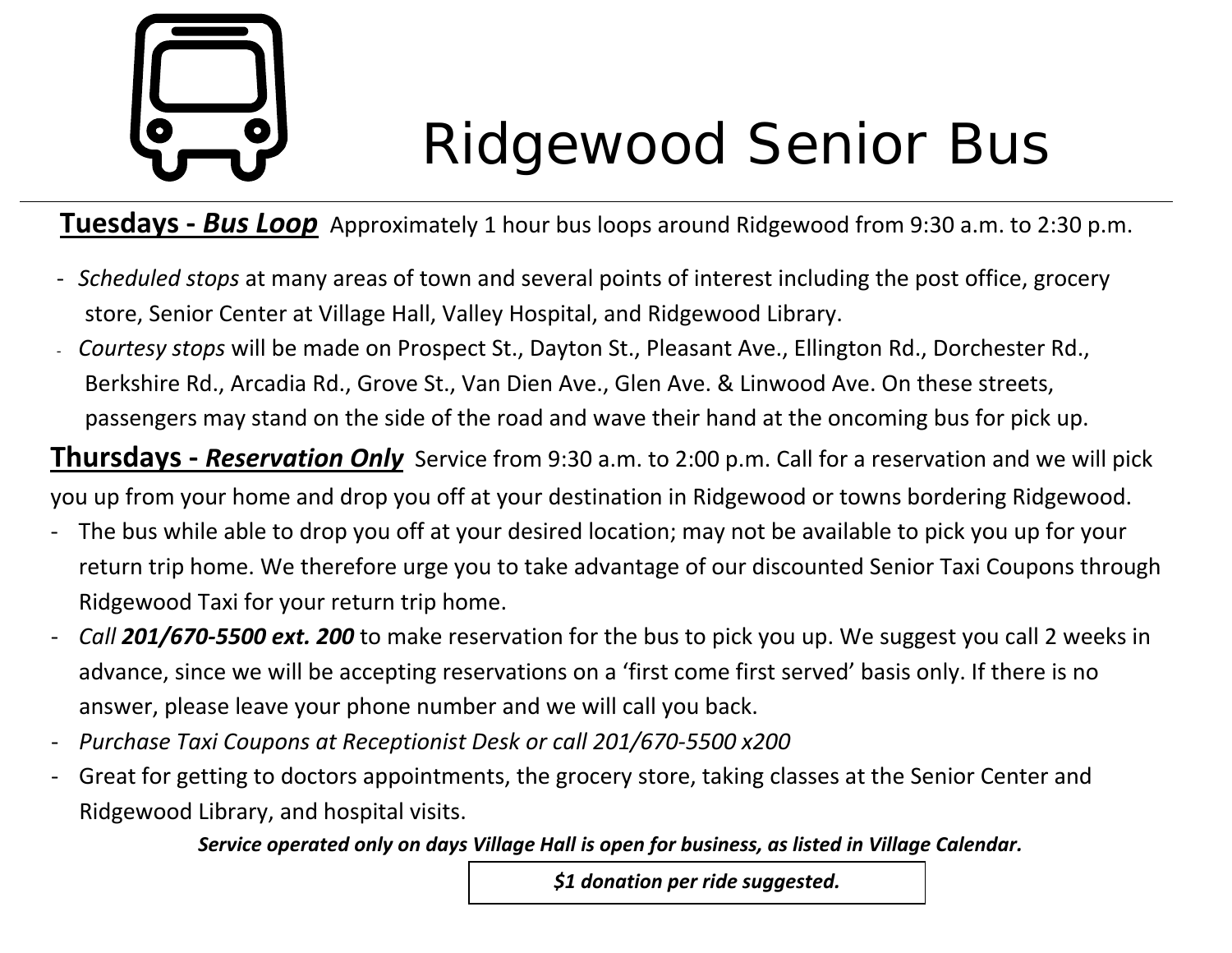# Ridgewood Senior Bus

**Tuesdays ‐** *Bus Loop* Approximately 1 hour bus loops around Ridgewood from 9:30 a.m. to 2:30 p.m.

- ‐ *Scheduled stops* at many areas of town and several points of interest including the post office, grocery store, Senior Center at Village Hall, Valley Hospital, and Ridgewood Library.
- *Courtesy stops* will be made on Prospect St., Dayton St., Pleasant Ave., Ellington Rd., Dorchester Rd., Berkshire Rd., Arcadia Rd., Grove St., Van Dien Ave., Glen Ave. & Linwood Ave. On these streets, passengers may stand on the side of the road and wave their hand at the oncoming bus for pick up.

**Thursdays ‐** *Reservation Only* Service from 9:30 a.m. to 2:00 p.m. Call for a reservation and we will pick

you up from your home and drop you off at your destination in Ridgewood or towns bordering Ridgewood.

- The bus while able to drop you off at your desired location; may not be available to pick you up for your return trip home. We therefore urge you to take advantage of our discounted Senior Taxi Coupons through Ridgewood Taxi for your return trip home.
- *Call 201/670‐5500 ext. 200* to make reservation for the bus to pick you up. We suggest you call 2 weeks in advance, since we will be accepting reservations on a 'first come first served' basis only. If there is no answer, please leave your phone number and we will call you back.
- ‐*Purchase Taxi Coupons at Receptionist Desk or call 201/670‐5500 x200*
- ‐ Great for getting to doctors appointments, the grocery store, taking classes at the Senior Center and Ridgewood Library, and hospital visits.

*Service operated only on days Village Hall is open for business, as listed in Village Calendar.*

*\$1 donation per ride suggested.*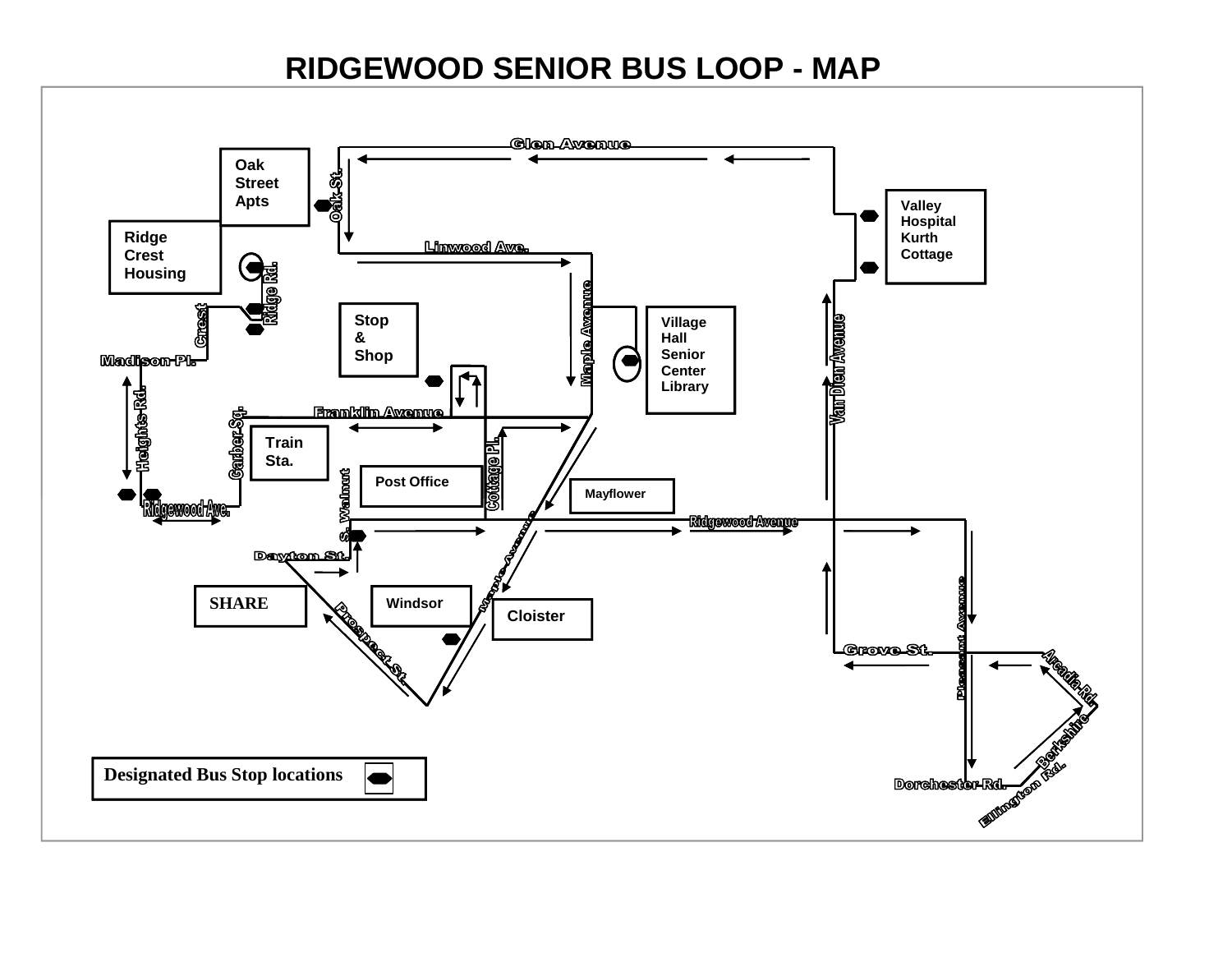## **RIDGEWOOD SENIOR BUS LOOP - MAP**